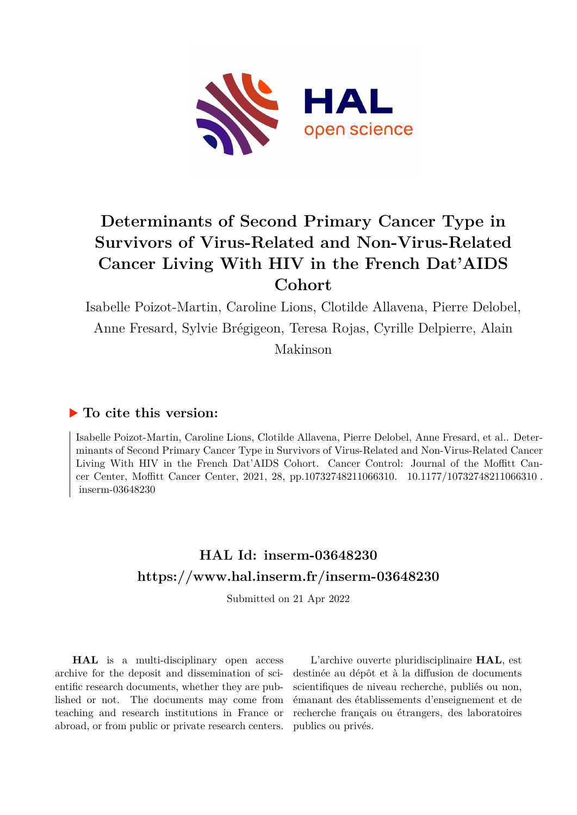

# **Determinants of Second Primary Cancer Type in Survivors of Virus-Related and Non-Virus-Related Cancer Living With HIV in the French Dat'AIDS Cohort**

Isabelle Poizot-Martin, Caroline Lions, Clotilde Allavena, Pierre Delobel, Anne Fresard, Sylvie Brégigeon, Teresa Rojas, Cyrille Delpierre, Alain Makinson

## **To cite this version:**

Isabelle Poizot-Martin, Caroline Lions, Clotilde Allavena, Pierre Delobel, Anne Fresard, et al.. Determinants of Second Primary Cancer Type in Survivors of Virus-Related and Non-Virus-Related Cancer Living With HIV in the French Dat'AIDS Cohort. Cancer Control: Journal of the Moffitt Cancer Center, Moffitt Cancer Center, 2021, 28, pp.10732748211066310. 10.1177/10732748211066310. inserm-03648230

## **HAL Id: inserm-03648230 <https://www.hal.inserm.fr/inserm-03648230>**

Submitted on 21 Apr 2022

**HAL** is a multi-disciplinary open access archive for the deposit and dissemination of scientific research documents, whether they are published or not. The documents may come from teaching and research institutions in France or abroad, or from public or private research centers.

L'archive ouverte pluridisciplinaire **HAL**, est destinée au dépôt et à la diffusion de documents scientifiques de niveau recherche, publiés ou non, émanant des établissements d'enseignement et de recherche français ou étrangers, des laboratoires publics ou privés.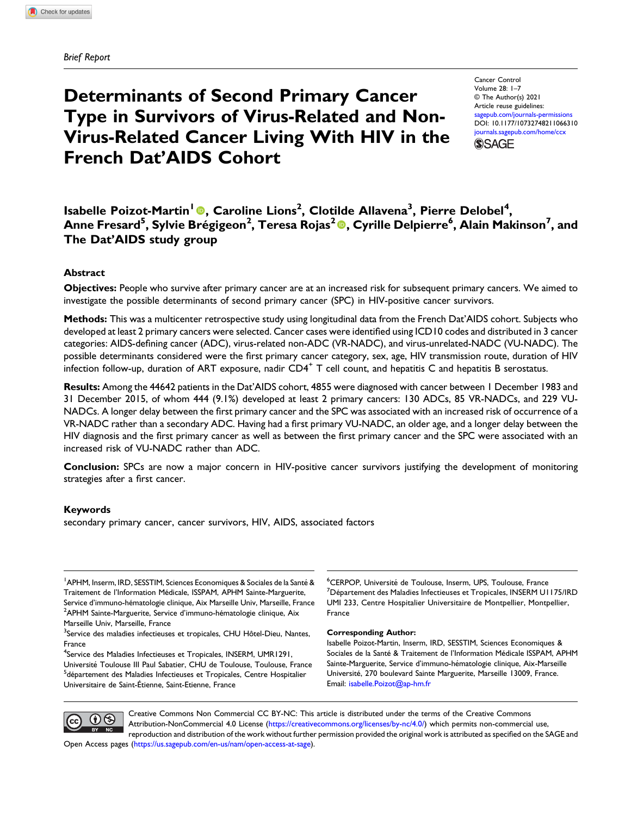Brief Report

## Determinants of Second Primary Cancer Type in Survivors of Virus-Related and Non-Virus-Related Cancer Living With HIV in the French Dat'AIDS Cohort

Cancer Control Volume 28: 1–7 © The Author(s) 2021 Article reuse guidelines: [sagepub.com/journals-permissions](https://us.sagepub.com/en-us/journals-permissions) DOI: [10.1177/10732748211066310](https://doi.org/10.1177/10732748211066310) [journals.sagepub.com/home/ccx](https://journals.sagepub.com/home/ccx) **SSAGE** 

Isabelle Poizot-Martin<sup>1</sup> <sup>®</sup>, Caroline Lions<sup>2</sup>, Clotilde Allavena<sup>3</sup>, Pierre Delobel<sup>4</sup>, Anne Fresard<sup>5</sup>, Sylvie Brégigeon<sup>2</sup>, Teresa Rojas<sup>2</sup>®, Cyrille Delpierre<sup>6</sup>, Alain Makinson<sup>7</sup>, and The Dat'AIDS study group

## Abstract

Objectives: People who survive after primary cancer are at an increased risk for subsequent primary cancers. We aimed to investigate the possible determinants of second primary cancer (SPC) in HIV-positive cancer survivors.

Methods: This was a multicenter retrospective study using longitudinal data from the French Dat'AIDS cohort. Subjects who developed at least 2 primary cancers were selected. Cancer cases were identified using ICD10 codes and distributed in 3 cancer categories: AIDS-defining cancer (ADC), virus-related non-ADC (VR-NADC), and virus-unrelated-NADC (VU-NADC). The possible determinants considered were the first primary cancer category, sex, age, HIV transmission route, duration of HIV infection follow-up, duration of ART exposure, nadir  $CD4<sup>+</sup>$  T cell count, and hepatitis C and hepatitis B serostatus.

Results: Among the 44642 patients in the Dat'AIDS cohort, 4855 were diagnosed with cancer between 1 December 1983 and 31 December 2015, of whom 444 (9.1%) developed at least 2 primary cancers: 130 ADCs, 85 VR-NADCs, and 229 VU-NADCs. A longer delay between the first primary cancer and the SPC was associated with an increased risk of occurrence of a VR-NADC rather than a secondary ADC. Having had a first primary VU-NADC, an older age, and a longer delay between the HIV diagnosis and the first primary cancer as well as between the first primary cancer and the SPC were associated with an increased risk of VU-NADC rather than ADC.

Conclusion: SPCs are now a major concern in HIV-positive cancer survivors justifying the development of monitoring strategies after a first cancer.

#### Keywords

secondary primary cancer, cancer survivors, HIV, AIDS, associated factors

<sup>1</sup> APHM, Inserm, IRD, SESSTIM, Sciences Economiques & Sociales de la Santé & Traitement de l'Information Medicale, ISSPAM, APHM Sainte-Marguerite, ´ Service d'immuno-hématologie clinique, Aix Marseille Univ, Marseille, France  $2$ APHM Sainte-Marguerite, Service d'immuno-hématologie clinique, Aix Marseille Univ, Marseille, France

<sup>3</sup>Service des maladies infectieuses et tropicales, CHU Hôtel-Dieu, Nantes, France

<sup>4</sup>Service des Maladies Infectieuses et Tropicales, INSERM, UMR1291,

Université Toulouse III Paul Sabatier, CHU de Toulouse, Toulouse, France <sup>5</sup>département des Maladies Infectieuses et Tropicales, Centre Hospitalier Universitaire de Saint-Etienne, Saint-Etienne, France ´

<sup>6</sup>CERPOP, Université de Toulouse, Inserm, UPS, Toulouse, France<br><sup>7</sup>Département des Maladies Infectiouses et Tropicales, INSERM LU <sup>7</sup>Département des Maladies Infectieuses et Tropicales, INSERM U1175/IRD UMI 233, Centre Hospitalier Universitaire de Montpellier, Montpellier, France

#### Corresponding Author:

Isabelle Poizot-Martin, Inserm, IRD, SESSTIM, Sciences Economiques & Sociales de la Santé & Traitement de l'Information Médicale ISSPAM, APHM Sainte-Marguerite, Service d'immuno-hematologie clinique, Aix-Marseille ´ Université, 270 boulevard Sainte Marguerite, Marseille 13009, France. Email: [isabelle.Poizot@ap-hm.fr](mailto:isabelle.Poizot@ap-hm.fr)



Creative Commons Non Commercial CC BY-NC: This article is distributed under the terms of the Creative Commons Attribution-NonCommercial 4.0 License ([https://creativecommons.org/licenses/by-nc/4.0/\)](https://creativecommons.org/licenses/by-nc/4.0/) which permits non-commercial use, reproduction and distribution of the work without further permission provided the original work is attributed as specified on the SAGE and Open Access pages ([https://us.sagepub.com/en-us/nam/open-access-at-sage\)](https://us.sagepub.com/en-us/nam/open-access-at-sage).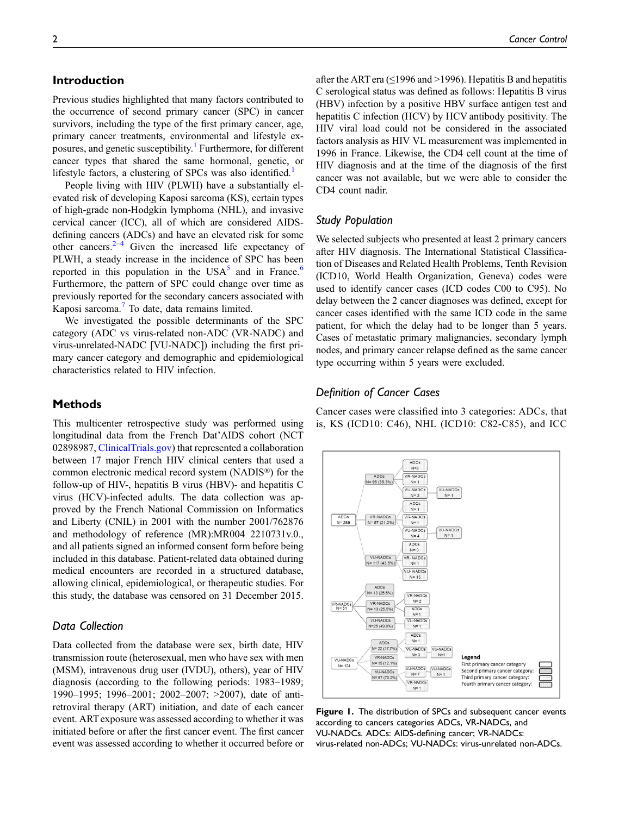## Introduction

Previous studies highlighted that many factors contributed to the occurrence of second primary cancer (SPC) in cancer survivors, including the type of the first primary cancer, age, primary cancer treatments, environmental and lifestyle exposures, and genetic susceptibility.<sup>1</sup> Furthermore, for different cancer types that shared the same hormonal, genetic, or lifestyle factors, a clustering of SPCs was also identified.<sup>1</sup>

People living with HIV (PLWH) have a substantially elevated risk of developing Kaposi sarcoma (KS), certain types of high-grade non-Hodgkin lymphoma (NHL), and invasive cervical cancer (ICC), all of which are considered AIDSdefining cancers (ADCs) and have an elevated risk for some other cancers. $2-4$  Given the increased life expectancy of PLWH, a steady increase in the incidence of SPC has been reported in this population in the  $USA<sup>5</sup>$  and in France.<sup>6</sup> Furthermore, the pattern of SPC could change over time as previously reported for the secondary cancers associated with Kaposi sarcoma.<sup>7</sup> To date, data remains limited.

We investigated the possible determinants of the SPC category (ADC vs virus-related non-ADC (VR-NADC) and virus-unrelated-NADC [VU-NADC]) including the first primary cancer category and demographic and epidemiological characteristics related to HIV infection.

### Methods

This multicenter retrospective study was performed using longitudinal data from the French Dat'AIDS cohort (NCT 02898987, [ClinicalTrials.gov\)](http://ClinicalTrials.gov) that represented a collaboration between 17 major French HIV clinical centers that used a common electronic medical record system (NADIS®) for the follow-up of HIV-, hepatitis B virus (HBV)- and hepatitis C virus (HCV)-infected adults. The data collection was approved by the French National Commission on Informatics and Liberty (CNIL) in 2001 with the number 2001/762876 and methodology of reference (MR):MR004 2210731v.0., and all patients signed an informed consent form before being included in this database. Patient-related data obtained during medical encounters are recorded in a structured database, allowing clinical, epidemiological, or therapeutic studies. For this study, the database was censored on 31 December 2015.

## Data Collection

Data collected from the database were sex, birth date, HIV transmission route (heterosexual, men who have sex with men (MSM), intravenous drug user (IVDU), others), year of HIV diagnosis (according to the following periods: 1983–1989; 1990–1995; 1996–2001; 2002–2007; >2007), date of antiretroviral therapy (ART) initiation, and date of each cancer event. ART exposure was assessed according to whether it was initiated before or after the first cancer event. The first cancer event was assessed according to whether it occurred before or after the ART era ( $\leq$ 1996 and >1996). Hepatitis B and hepatitis C serological status was defined as follows: Hepatitis B virus (HBV) infection by a positive HBV surface antigen test and hepatitis C infection (HCV) by HCV antibody positivity. The HIV viral load could not be considered in the associated factors analysis as HIV VL measurement was implemented in 1996 in France. Likewise, the CD4 cell count at the time of HIV diagnosis and at the time of the diagnosis of the first cancer was not available, but we were able to consider the CD4 count nadir.

## Study Population

We selected subjects who presented at least 2 primary cancers after HIV diagnosis. The International Statistical Classification of Diseases and Related Health Problems, Tenth Revision (ICD10, World Health Organization, Geneva) codes were used to identify cancer cases (ICD codes C00 to C95). No delay between the 2 cancer diagnoses was defined, except for cancer cases identified with the same ICD code in the same patient, for which the delay had to be longer than 5 years. Cases of metastatic primary malignancies, secondary lymph nodes, and primary cancer relapse defined as the same cancer type occurring within 5 years were excluded.

## Definition of Cancer Cases

Cancer cases were classified into 3 categories: ADCs, that is, KS (ICD10: C46), NHL (ICD10: C82-C85), and ICC



Figure 1. The distribution of SPCs and subsequent cancer events according to cancers categories ADCs, VR-NADCs, and VU-NADCs. ADCs: AIDS-defining cancer; VR-NADCs: virus-related non-ADCs; VU-NADCs: virus-unrelated non-ADCs.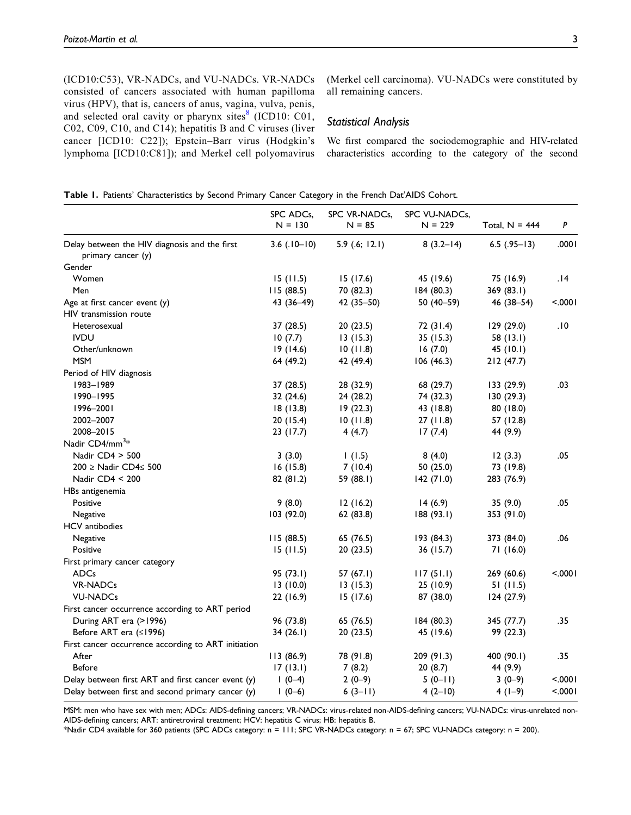(ICD10:C53), VR-NADCs, and VU-NADCs. VR-NADCs consisted of cancers associated with human papilloma virus (HPV), that is, cancers of anus, vagina, vulva, penis, and selected oral cavity or pharynx sites $\frac{8}{3}$  (ICD10: C01, C02, C09, C10, and C14); hepatitis B and C viruses (liver cancer [ICD10: C22]); Epstein–Barr virus (Hodgkin's lymphoma [ICD10:C81]); and Merkel cell polyomavirus (Merkel cell carcinoma). VU-NADCs were constituted by all remaining cancers.

## Statistical Analysis

We first compared the sociodemographic and HIV-related characteristics according to the category of the second

|  |  | Table I. Patients' Characteristics by Second Primary Cancer Category in the French Dat'AIDS Cohort. |  |  |  |  |  |  |  |  |  |  |
|--|--|-----------------------------------------------------------------------------------------------------|--|--|--|--|--|--|--|--|--|--|
|--|--|-----------------------------------------------------------------------------------------------------|--|--|--|--|--|--|--|--|--|--|

|                                                     | SPC ADCs,<br>$N = 130$ | SPC VR-NADCs,<br>$N = 85$ | SPC VU-NADCs,<br>$N = 229$ | Total, $N = 444$ | P       |
|-----------------------------------------------------|------------------------|---------------------------|----------------------------|------------------|---------|
| Delay between the HIV diagnosis and the first       | $3.6$ (.10–10)         | 5.9(.6; 12.1)             | $8(3.2-14)$                | $6.5$ (.95-13)   | .0001   |
| primary cancer (y)                                  |                        |                           |                            |                  |         |
| Gender                                              |                        |                           |                            |                  |         |
| Women                                               | 15(11.5)               | 15(17.6)                  | 45 (19.6)                  | 75 (16.9)        | 14.     |
| Men                                                 | 115 (88.5)             | 70 (82.3)                 | 184(80.3)                  | 369 (83.1)       |         |
| Age at first cancer event $(y)$                     | 43 (36-49)             | 42 (35-50)                | $50(40-59)$                | 46 (38-54)       | < 0001  |
| HIV transmission route                              |                        |                           |                            |                  |         |
| Heterosexual                                        | 37 (28.5)              | 20(23.5)                  | 72 (31.4)                  | 129 (29.0)       | 0١.     |
| <b>IVDU</b>                                         | 10(7.7)                | 13(15.3)                  | 35(15.3)                   | 58 (13.1)        |         |
| Other/unknown                                       | 19(14.6)               | 10(11.8)                  | 16(7.0)                    | 45 (10.1)        |         |
| <b>MSM</b>                                          | 64 (49.2)              | 42 (49.4)                 | 106(46.3)                  | 212(47.7)        |         |
| Period of HIV diagnosis                             |                        |                           |                            |                  |         |
| 1983-1989                                           | 37 (28.5)              | 28 (32.9)                 | 68 (29.7)                  | 133(29.9)        | .03     |
| 1990-1995                                           | 32(24.6)               | 24 (28.2)                 | 74 (32.3)                  | 130(29.3)        |         |
| 1996-2001                                           | 18(13.8)               | 19(22.3)                  | 43 (18.8)                  | 80 (18.0)        |         |
| 2002-2007                                           | 20(15.4)               | 10(11.8)                  | 27(11.8)                   | 57 (12.8)        |         |
| 2008-2015                                           | 23 (17.7)              | 4(4.7)                    | 17(7.4)                    | 44 (9.9)         |         |
| Nadir CD4/mm <sup>3</sup> *                         |                        |                           |                            |                  |         |
| Nadir CD4 > 500                                     | 3(3.0)                 | 1(1.5)                    | 8(4.0)                     | 12(3.3)          | .05     |
| 200 ≥ Nadir CD4≤ 500                                | 16(15.8)               | 7(10.4)                   | 50(25.0)                   | 73 (19.8)        |         |
| Nadir CD4 < 200                                     | 82 (81.2)              | 59 (88.1)                 | 142(71.0)                  | 283 (76.9)       |         |
| HBs antigenemia                                     |                        |                           |                            |                  |         |
| Positive                                            | 9(8.0)                 | 12(16.2)                  | 14(6.9)                    | 35(9.0)          | .05     |
| Negative                                            | 103 (92.0)             | 62(83.8)                  | 188(93.1)                  | 353 (91.0)       |         |
| HCV antibodies                                      |                        |                           |                            |                  |         |
| Negative                                            | 115 (88.5)             | 65 (76.5)                 | 193 (84.3)                 | 373 (84.0)       | .06     |
| Positive                                            | 15(11.5)               | 20(23.5)                  | 36 (15.7)                  | 71(16.0)         |         |
| First primary cancer category                       |                        |                           |                            |                  |         |
| <b>ADCs</b>                                         | 95(73.1)               | 57 $(67.1)$               | 117(51.1)                  | 269 (60.6)       | < .0001 |
| <b>VR-NADCs</b>                                     | 13(10.0)               | 13(15.3)                  | 25(10.9)                   | 51(11.5)         |         |
| <b>VU-NADCs</b>                                     | 22 (16.9)              | 15(17.6)                  | 87 (38.0)                  | 124(27.9)        |         |
| First cancer occurrence according to ART period     |                        |                           |                            |                  |         |
| During ART era (>1996)                              | 96 (73.8)              | 65 (76.5)                 | 184(80.3)                  | 345 (77.7)       | .35     |
| Before ART era (≤1996)                              | 34(26.1)               | 20(23.5)                  | 45 (19.6)                  | 99 (22.3)        |         |
| First cancer occurrence according to ART initiation |                        |                           |                            |                  |         |
| After                                               | 113 (86.9)             | 78 (91.8)                 | 209 (91.3)                 | 400 (90.1)       | .35     |
| <b>Before</b>                                       | 17(13.1)               | 7(8.2)                    | 20(8.7)                    | 44 (9.9)         |         |
| Delay between first ART and first cancer event (y)  | $1(0-4)$               | $2(0-9)$                  | $5(0-11)$                  | $3(0-9)$         | < .0001 |
| Delay between first and second primary cancer (y)   | $1(0-6)$               | $6(3-11)$                 | $4(2-10)$                  | $4(1-9)$         | < .0001 |

MSM: men who have sex with men; ADCs: AIDS-defining cancers; VR-NADCs: virus-related non-AIDS-defining cancers; VU-NADCs: virus-unrelated non-AIDS-defining cancers; ART: antiretroviral treatment; HCV: hepatitis C virus; HB: hepatitis B.

\*Nadir CD4 available for 360 patients (SPC ADCs category: n = 111; SPC VR-NADCs category: n = 67; SPC VU-NADCs category: n = 200).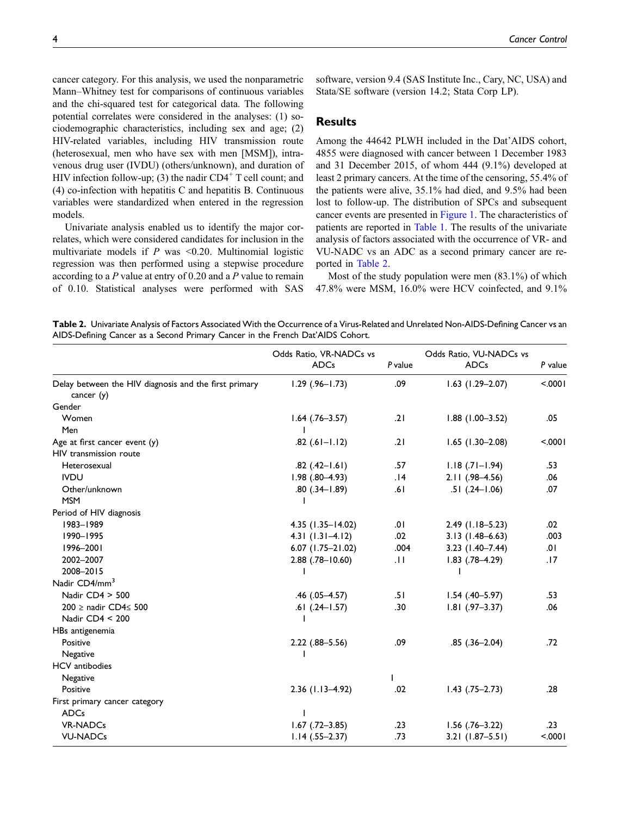cancer category. For this analysis, we used the nonparametric Mann–Whitney test for comparisons of continuous variables and the chi-squared test for categorical data. The following potential correlates were considered in the analyses: (1) sociodemographic characteristics, including sex and age; (2) HIV-related variables, including HIV transmission route (heterosexual, men who have sex with men [MSM]), intravenous drug user (IVDU) (others/unknown), and duration of HIV infection follow-up; (3) the nadir  $CD4^+$  T cell count; and (4) co-infection with hepatitis C and hepatitis B. Continuous variables were standardized when entered in the regression models.

Univariate analysis enabled us to identify the major correlates, which were considered candidates for inclusion in the multivariate models if  $P$  was <0.20. Multinomial logistic regression was then performed using a stepwise procedure according to a  $P$  value at entry of 0.20 and a  $P$  value to remain of 0.10. Statistical analyses were performed with SAS software, version 9.4 (SAS Institute Inc., Cary, NC, USA) and Stata/SE software (version 14.2; Stata Corp LP).

### Results

Among the 44642 PLWH included in the Dat'AIDS cohort, 4855 were diagnosed with cancer between 1 December 1983 and 31 December 2015, of whom 444 (9.1%) developed at least 2 primary cancers. At the time of the censoring, 55.4% of the patients were alive, 35.1% had died, and 9.5% had been lost to follow-up. The distribution of SPCs and subsequent cancer events are presented in Figure 1. The characteristics of patients are reported in Table 1. The results of the univariate analysis of factors associated with the occurrence of VR- and VU-NADC vs an ADC as a second primary cancer are reported in Table 2.

Most of the study population were men (83.1%) of which 47.8% were MSM, 16.0% were HCV coinfected, and 9.1%

Table 2. Univariate Analysis of Factors Associated With the Occurrence of a Virus-Related and Unrelated Non-AIDS-Defining Cancer vs an AIDS-Defining Cancer as a Second Primary Cancer in the French Dat'AIDS Cohort.

|                                                                       | Odds Ratio, VR-NADCs vs<br><b>ADCs</b> | P value          | Odds Ratio, VU-NADCs vs<br><b>ADCs</b> | P value |
|-----------------------------------------------------------------------|----------------------------------------|------------------|----------------------------------------|---------|
| Delay between the HIV diagnosis and the first primary<br>cancer $(y)$ | $1.29$ (.96-1.73)                      | .09              | $1.63$ (1.29-2.07)                     | < 0001  |
| Gender                                                                |                                        |                  |                                        |         |
| Women                                                                 | $1.64$ (.76-3.57)                      | .21              | $1.88$ (1.00-3.52)                     | .05     |
| Men                                                                   |                                        |                  |                                        |         |
| Age at first cancer event $(y)$                                       | $.82$ $(.61-1.12)$                     | .21              | $1.65$ (1.30-2.08)                     | < .0001 |
| HIV transmission route                                                |                                        |                  |                                        |         |
| Heterosexual                                                          | $.82$ $(.42 - 1.61)$                   | .57              | $1.18$ $(.71 - 1.94)$                  | .53     |
| <b>IVDU</b>                                                           | $1.98$ $(.80-4.93)$                    | .14              | $2.11(.98 - 4.56)$                     | .06     |
| Other/unknown                                                         | $.80(.34-1.89)$                        | .61              | $.51$ $(.24-1.06)$                     | .07     |
| <b>MSM</b>                                                            |                                        |                  |                                        |         |
| Period of HIV diagnosis                                               |                                        |                  |                                        |         |
| 1983-1989                                                             | 4.35 (1.35-14.02)                      | .01              | $2.49$ (1.18-5.23)                     | .02     |
| 1990-1995                                                             | $4.31(1.31-4.12)$                      | .02              | $3.13(1.48 - 6.63)$                    | .003    |
| 1996-2001                                                             | $6.07$ (1.75-21.02)                    | .004             | $3.23$ (1.40-7.44)                     | .01     |
| 2002-2007                                                             | $2.88$ $(.78 - 10.60)$                 | $\overline{11}$  | $1.83$ $(.78 - 4.29)$                  | .17     |
| 2008-2015                                                             |                                        |                  |                                        |         |
| Nadir CD4/mm <sup>3</sup>                                             |                                        |                  |                                        |         |
| Nadir CD4 > 500                                                       | $.46$ $(.05-4.57)$                     | .51              | $1.54$ (.40-5.97)                      | .53     |
| 200 ≥ nadir CD4≤ 500                                                  | $.61$ $(.24-1.57)$                     | .30 <sub>0</sub> | $1.81$ (.97-3.37)                      | .06     |
| Nadir CD4 < 200                                                       |                                        |                  |                                        |         |
| HBs antigenemia                                                       |                                        |                  |                                        |         |
| Positive                                                              | $2.22$ $(.88 - 5.56)$                  | .09              | $.85(.36 - 2.04)$                      | .72     |
| Negative                                                              | ı                                      |                  |                                        |         |
| <b>HCV</b> antibodies                                                 |                                        |                  |                                        |         |
| Negative                                                              |                                        |                  |                                        |         |
| Positive                                                              | $2.36$ (1.13-4.92)                     | .02              | $1.43$ $(.75-2.73)$                    | .28     |
| First primary cancer category                                         |                                        |                  |                                        |         |
| <b>ADCs</b>                                                           |                                        |                  |                                        |         |
| <b>VR-NADCs</b>                                                       | $1.67$ $(.72 - 3.85)$                  | .23              | $1.56$ (.76-3.22)                      | .23     |
| <b>VU-NADCs</b>                                                       | $1.14$ (.55-2.37)                      | .73              | $3.21$ (1.87-5.51)                     | < .0001 |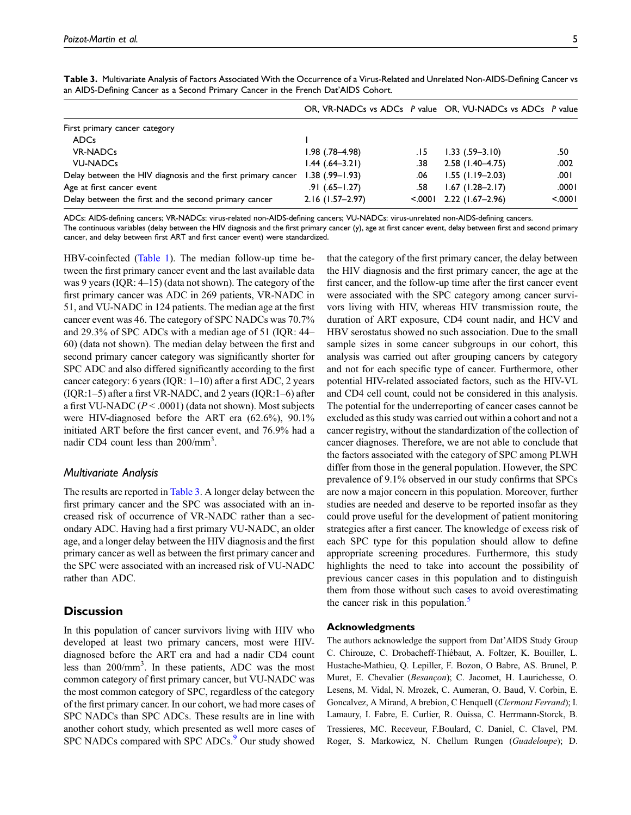|                                                              |                       |         | OR, VR-NADCs vs ADCs P value OR, VU-NADCs vs ADCs P value |         |
|--------------------------------------------------------------|-----------------------|---------|-----------------------------------------------------------|---------|
| First primary cancer category                                |                       |         |                                                           |         |
| <b>ADCs</b>                                                  |                       |         |                                                           |         |
| <b>VR-NADCs</b>                                              | $1.98$ $(.78 - 4.98)$ | . 15    | $1.33$ $(.59-3.10)$                                       | .50     |
| <b>VU-NADCs</b>                                              | $1.44$ (.64–3.21)     | .38     | $2.58$ (1.40-4.75)                                        | .002    |
| Delay between the HIV diagnosis and the first primary cancer | $1.38$ (.99-1.93)     | .06     | $1.55$ (1.19–2.03)                                        | .001    |
| Age at first cancer event                                    | $.91(.65 - 1.27)$     | .58     | $1.67$ (1.28-2.17)                                        | .0001   |
| Delay between the first and the second primary cancer        | $2.16$ (1.57-2.97)    | < 0.001 | 2.22 (1.67–2.96)                                          | < 0.001 |

Table 3. Multivariate Analysis of Factors Associated With the Occurrence of a Virus-Related and Unrelated Non-AIDS-Defining Cancer vs an AIDS-Defining Cancer as a Second Primary Cancer in the French Dat'AIDS Cohort.

ADCs: AIDS-defining cancers; VR-NADCs: virus-related non-AIDS-defining cancers; VU-NADCs: virus-unrelated non-AIDS-defining cancers.

The continuous variables (delay between the HIV diagnosis and the first primary cancer (y), age at first cancer event, delay between first and second primary cancer, and delay between first ART and first cancer event) were standardized.

HBV-coinfected (Table 1). The median follow-up time between the first primary cancer event and the last available data was 9 years (IQR: 4–15) (data not shown). The category of the first primary cancer was ADC in 269 patients, VR-NADC in 51, and VU-NADC in 124 patients. The median age at the first cancer event was 46. The category of SPC NADCs was 70.7% and 29.3% of SPC ADCs with a median age of 51 (IQR: 44– 60) (data not shown). The median delay between the first and second primary cancer category was significantly shorter for SPC ADC and also differed significantly according to the first cancer category: 6 years (IQR: 1–10) after a first ADC, 2 years  $( IQR:1-5)$  after a first VR-NADC, and 2 years  $( IQR:1-6)$  after a first VU-NADC  $(P < .0001)$  (data not shown). Most subjects were HIV-diagnosed before the ART era (62.6%), 90.1% initiated ART before the first cancer event, and 76.9% had a nadir CD4 count less than 200/mm<sup>3</sup>.

#### Multivariate Analysis

The results are reported in Table 3. A longer delay between the first primary cancer and the SPC was associated with an increased risk of occurrence of VR-NADC rather than a secondary ADC. Having had a first primary VU-NADC, an older age, and a longer delay between the HIV diagnosis and the first primary cancer as well as between the first primary cancer and the SPC were associated with an increased risk of VU-NADC rather than ADC.

## **Discussion**

In this population of cancer survivors living with HIV who developed at least two primary cancers, most were HIVdiagnosed before the ART era and had a nadir CD4 count less than 200/mm<sup>3</sup>. In these patients, ADC was the most common category of first primary cancer, but VU-NADC was the most common category of SPC, regardless of the category of the first primary cancer. In our cohort, we had more cases of SPC NADCs than SPC ADCs. These results are in line with another cohort study, which presented as well more cases of SPC NADCs compared with SPC ADCs.<sup>9</sup> Our study showed

that the category of the first primary cancer, the delay between the HIV diagnosis and the first primary cancer, the age at the first cancer, and the follow-up time after the first cancer event were associated with the SPC category among cancer survivors living with HIV, whereas HIV transmission route, the duration of ART exposure, CD4 count nadir, and HCV and HBV serostatus showed no such association. Due to the small sample sizes in some cancer subgroups in our cohort, this analysis was carried out after grouping cancers by category and not for each specific type of cancer. Furthermore, other potential HIV-related associated factors, such as the HIV-VL and CD4 cell count, could not be considered in this analysis. The potential for the underreporting of cancer cases cannot be excluded as this study was carried out within a cohort and not a cancer registry, without the standardization of the collection of cancer diagnoses. Therefore, we are not able to conclude that the factors associated with the category of SPC among PLWH differ from those in the general population. However, the SPC prevalence of 9.1% observed in our study confirms that SPCs are now a major concern in this population. Moreover, further studies are needed and deserve to be reported insofar as they could prove useful for the development of patient monitoring strategies after a first cancer. The knowledge of excess risk of each SPC type for this population should allow to define appropriate screening procedures. Furthermore, this study highlights the need to take into account the possibility of previous cancer cases in this population and to distinguish them from those without such cases to avoid overestimating the cancer risk in this population. $\frac{5}{5}$ 

## Acknowledgments

The authors acknowledge the support from Dat'AIDS Study Group C. Chirouze, C. Drobacheff-Thiebaut, A. Foltzer, K. Bouiller, L. ´ Hustache-Mathieu, Q. Lepiller, F. Bozon, O Babre, AS. Brunel, P. Muret, E. Chevalier (Besançon); C. Jacomet, H. Laurichesse, O. Lesens, M. Vidal, N. Mrozek, C. Aumeran, O. Baud, V. Corbin, E. Goncalvez, A Mirand, A brebion, C Henquell (Clermont Ferrand); I. Lamaury, I. Fabre, E. Curlier, R. Ouissa, C. Herrmann-Storck, B. Tressieres, MC. Receveur, F.Boulard, C. Daniel, C. Clavel, PM. Roger, S. Markowicz, N. Chellum Rungen (Guadeloupe); D.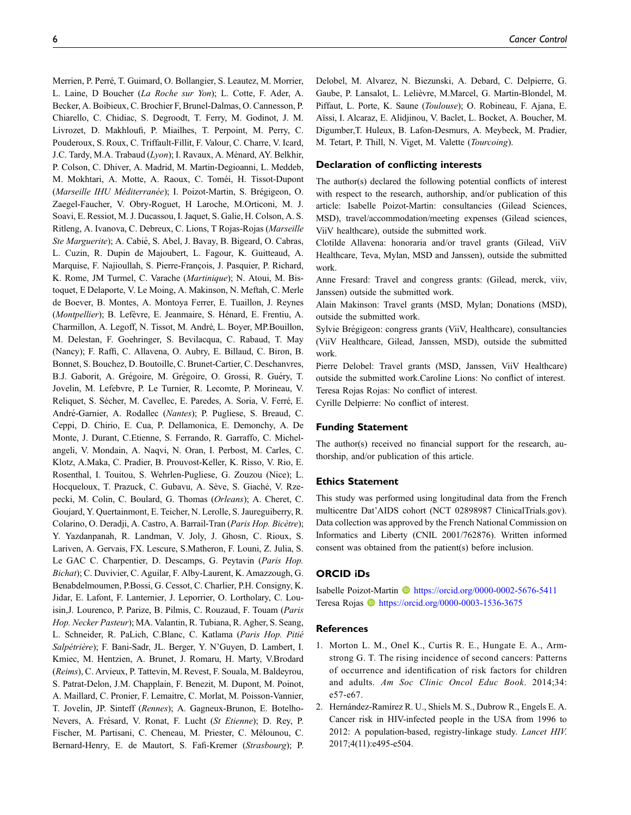Merrien, P. Perré, T. Guimard, O. Bollangier, S. Leautez, M. Morrier, L. Laine, D Boucher (La Roche sur Yon); L. Cotte, F. Ader, A. Becker, A. Boibieux, C. Brochier F, Brunel-Dalmas, O. Cannesson, P. Chiarello, C. Chidiac, S. Degroodt, T. Ferry, M. Godinot, J. M. Livrozet, D. Makhloufi, P. Miailhes, T. Perpoint, M. Perry, C. Pouderoux, S. Roux, C. Triffault-Fillit, F. Valour, C. Charre, V. Icard, J.C. Tardy, M.A. Trabaud (Lyon); I. Ravaux, A. Ménard, AY. Belkhir, P. Colson, C. Dhiver, A. Madrid, M. Martin-Degioanni, L. Meddeb, M. Mokhtari, A. Motte, A. Raoux, C. Toméi, H. Tissot-Dupont (Marseille IHU Méditerranée); I. Poizot-Martin, S. Brégigeon, O. Zaegel-Faucher, V. Obry-Roguet, H Laroche, M.Orticoni, M. J. Soavi, E. Ressiot, M. J. Ducassou, I. Jaquet, S. Galie, H. Colson, A. S. Ritleng, A. Ivanova, C. Debreux, C. Lions, T Rojas-Rojas (Marseille Ste Marguerite); A. Cabié, S. Abel, J. Bavay, B. Bigeard, O. Cabras, L. Cuzin, R. Dupin de Majoubert, L. Fagour, K. Guitteaud, A. Marquise, F. Najioullah, S. Pierre-François, J. Pasquier, P. Richard, K. Rome, JM Turmel, C. Varache (Martinique); N. Atoui, M. Bistoquet, E Delaporte, V. Le Moing, A. Makinson, N. Meftah, C. Merle de Boever, B. Montes, A. Montoya Ferrer, E. Tuaillon, J. Reynes (Montpellier); B. Lefèvre, E. Jeanmaire, S. Hénard, E. Frentiu, A. Charmillon, A. Legoff, N. Tissot, M. André, L. Boyer, MP.Bouillon, M. Delestan, F. Goehringer, S. Bevilacqua, C. Rabaud, T. May (Nancy); F. Raffi, C. Allavena, O. Aubry, E. Billaud, C. Biron, B. Bonnet, S. Bouchez, D. Boutoille, C. Brunet-Cartier, C. Deschanvres, B.J. Gaborit, A. Grégoire, M. Grégoire, O. Grossi, R. Guéry, T. Jovelin, M. Lefebvre, P. Le Turnier, R. Lecomte, P. Morineau, V. Reliquet, S. Sécher, M. Cavellec, E. Paredes, A. Soria, V. Ferré, E. André-Garnier, A. Rodallec (Nantes); P. Pugliese, S. Breaud, C. Ceppi, D. Chirio, E. Cua, P. Dellamonica, E. Demonchy, A. De Monte, J. Durant, C.Etienne, S. Ferrando, R. Garraffo, C. Michelangeli, V. Mondain, A. Naqvi, N. Oran, I. Perbost, M. Carles, C. Klotz, A.Maka, C. Pradier, B. Prouvost-Keller, K. Risso, V. Rio, E. Rosenthal, I. Touitou, S. Wehrlen-Pugliese, G. Zouzou (Nice); L. Hocqueloux, T. Prazuck, C. Gubavu, A. Sève, S. Giaché, V. Rzepecki, M. Colin, C. Boulard, G. Thomas (Orleans); A. Cheret, C. Goujard, Y. Quertainmont, E. Teicher, N. Lerolle, S. Jaureguiberry, R. Colarino, O. Deradji, A. Castro, A. Barrail-Tran (Paris Hop. Bicètre); Y. Yazdanpanah, R. Landman, V. Joly, J. Ghosn, C. Rioux, S. Lariven, A. Gervais, FX. Lescure, S.Matheron, F. Louni, Z. Julia, S. Le GAC C. Charpentier, D. Descamps, G. Peytavin (Paris Hop. Bichat); C. Duvivier, C. Aguilar, F. Alby-Laurent, K. Amazzough, G. Benabdelmoumen, P.Bossi, G. Cessot, C. Charlier, P.H. Consigny, K. Jidar, E. Lafont, F. Lanternier, J. Leporrier, O. Lortholary, C. Louisin,J. Lourenco, P. Parize, B. Pilmis, C. Rouzaud, F. Touam (Paris Hop. Necker Pasteur); MA. Valantin, R. Tubiana, R. Agher, S. Seang, L. Schneider, R. PaLich, C.Blanc, C. Katlama (Paris Hop. Pitié Salpétrière); F. Bani-Sadr, JL. Berger, Y. N'Guyen, D. Lambert, I. Kmiec, M. Hentzien, A. Brunet, J. Romaru, H. Marty, V.Brodard (Reims), C. Arvieux, P. Tattevin, M. Revest, F. Souala, M. Baldeyrou, S. Patrat-Delon, J.M. Chapplain, F. Benezit, M. Dupont, M. Poinot, A. Maillard, C. Pronier, F. Lemaitre, C. Morlat, M. Poisson-Vannier, T. Jovelin, JP. Sinteff (Rennes); A. Gagneux-Brunon, E. Botelho-Nevers, A. Frésard, V. Ronat, F. Lucht (St Etienne); D. Rey, P. Fischer, M. Partisani, C. Cheneau, M. Priester, C. Mélounou, C. Bernard-Henry, E. de Mautort, S. Fafi-Kremer (Strasbourg); P.

Delobel, M. Alvarez, N. Biezunski, A. Debard, C. Delpierre, G. Gaube, P. Lansalot, L. Lelièvre, M.Marcel, G. Martin-Blondel, M. Piffaut, L. Porte, K. Saune (Toulouse); O. Robineau, F. Ajana, E. Aïssi, I. Alcaraz, E. Alidjinou, V. Baclet, L. Bocket, A. Boucher, M. Digumber,T. Huleux, B. Lafon-Desmurs, A. Meybeck, M. Pradier, M. Tetart, P. Thill, N. Viget, M. Valette (Tourcoing).

#### Declaration of conflicting interests

The author(s) declared the following potential conflicts of interest with respect to the research, authorship, and/or publication of this article: Isabelle Poizot-Martin: consultancies (Gilead Sciences, MSD), travel/accommodation/meeting expenses (Gilead sciences, ViiV healthcare), outside the submitted work.

Clotilde Allavena: honoraria and/or travel grants (Gilead, ViiV Healthcare, Teva, Mylan, MSD and Janssen), outside the submitted work.

Anne Fresard: Travel and congress grants: (Gilead, merck, viiv, Janssen) outside the submitted work.

Alain Makinson: Travel grants (MSD, Mylan; Donations (MSD), outside the submitted work.

Sylvie Brégigeon: congress grants (ViiV, Healthcare), consultancies (ViiV Healthcare, Gilead, Janssen, MSD), outside the submitted work.

Pierre Delobel: Travel grants (MSD, Janssen, ViiV Healthcare) outside the submitted work.Caroline Lions: No conflict of interest. Teresa Rojas Rojas: No conflict of interest.

Cyrille Delpierre: No conflict of interest.

#### Funding Statement

The author(s) received no financial support for the research, authorship, and/or publication of this article.

#### Ethics Statement

This study was performed using longitudinal data from the French multicentre Dat'AIDS cohort (NCT 02898987 ClinicalTrials.gov). Data collection was approved by the French National Commission on Informatics and Liberty (CNIL 2001/762876). Written informed consent was obtained from the patient(s) before inclusion.

#### ORCID iDs

Isabelle Poizot-Martin **b** <https://orcid.org/0000-0002-5676-5411> Teresa Rojas <https://orcid.org/0000-0003-1536-3675>

#### References

- 1. Morton L. M., Onel K., Curtis R. E., Hungate E. A., Armstrong G. T. The rising incidence of second cancers: Patterns of occurrence and identification of risk factors for children and adults. Am Soc Clinic Oncol Educ Book. 2014;34: e57-e67.
- 2. Hernández-Ramírez R. U., Shiels M. S., Dubrow R., Engels E. A. Cancer risk in HIV-infected people in the USA from 1996 to 2012: A population-based, registry-linkage study. Lancet HIV. 2017;4(11):e495-e504.